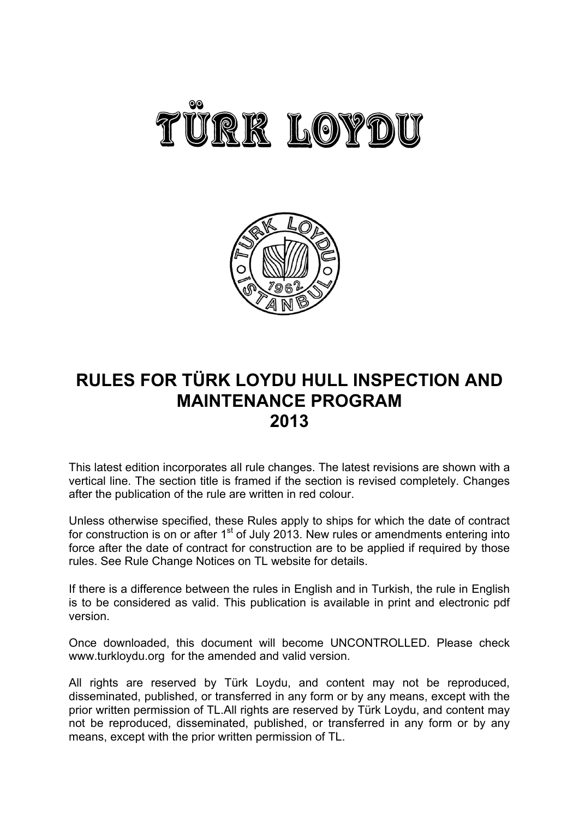



# **RULES FOR TÜRK LOYDU HULL INSPECTION AND MAINTENANCE PROGRAM 2013**

This latest edition incorporates all rule changes. The latest revisions are shown with a vertical line. The section title is framed if the section is revised completely. Changes after the publication of the rule are written in red colour.

Unless otherwise specified, these Rules apply to ships for which the date of contract for construction is on or after  $1<sup>st</sup>$  of July 2013. New rules or amendments entering into force after the date of contract for construction are to be applied if required by those rules. See Rule Change Notices on TL website for details.

If there is a difference between the rules in English and in Turkish, the rule in English is to be considered as valid. This publication is available in print and electronic pdf version.

Once downloaded, this document will become UNCONTROLLED. Please check www.turkloydu.org for the amended and valid version.

All rights are reserved by Türk Loydu, and content may not be reproduced, disseminated, published, or transferred in any form or by any means, except with the prior written permission of TL.All rights are reserved by Türk Loydu, and content may not be reproduced, disseminated, published, or transferred in any form or by any means, except with the prior written permission of TL.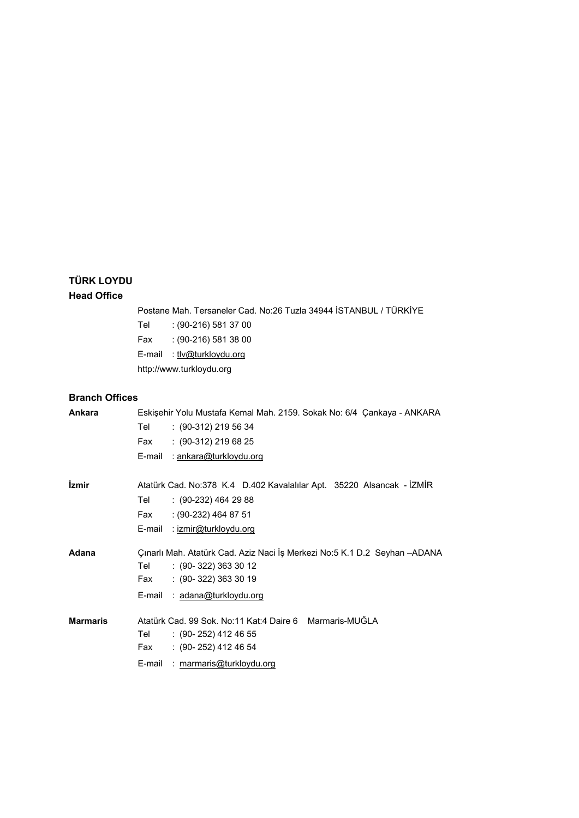# **TÜRK LOYDU**

### **Head Office**

Postane Mah. Tersaneler Cad. No:26 Tuzla 34944 İSTANBUL / TÜRKİYE

Tel : (90-216) 581 37 00

Fax : (90-216) 581 38 00

E-mail : tlv@turkloydu.org

http://www.turkloydu.org

### **Branch Offices**

| Ankara          |        | Eskişehir Yolu Mustafa Kemal Mah. 2159. Sokak No: 6/4 Çankaya - ANKARA    |
|-----------------|--------|---------------------------------------------------------------------------|
|                 | Tel    | $(90-312)$ 219 56 34                                                      |
|                 | Fax    | $: (90-312) 219 68 25$                                                    |
|                 | E-mail | : ankara@turkloydu.org                                                    |
|                 |        |                                                                           |
| <i>izmir</i>    |        | Atatürk Cad. No:378 K.4 D.402 Kavalalılar Apt. 35220 Alsancak - İZMİR     |
|                 | Tel    | $(90-232)$ 464 29 88                                                      |
|                 | Fax    | $(90-232)$ 464 87 51                                                      |
|                 | E-mail | : izmir@turkloydu.org                                                     |
| Adana           |        | Çınarlı Mah. Atatürk Cad. Aziz Naci İş Merkezi No:5 K.1 D.2 Seyhan -ADANA |
|                 | Tel    | $: (90 - 322) 363 30 12$                                                  |
|                 | Fax    | $: (90-322) 363 30 19$                                                    |
|                 | E-mail | : adana@turkloydu.org                                                     |
| <b>Marmaris</b> |        | Atatürk Cad. 99 Sok. No:11 Kat:4 Daire 6 Marmaris-MUĞLA                   |
|                 | Tel    | $: (90 - 252)$ 412 46 55                                                  |
|                 | Fax    | $: (90 - 252)$ 412 46 54                                                  |
|                 | E-mail | : marmaris@turkloydu.org                                                  |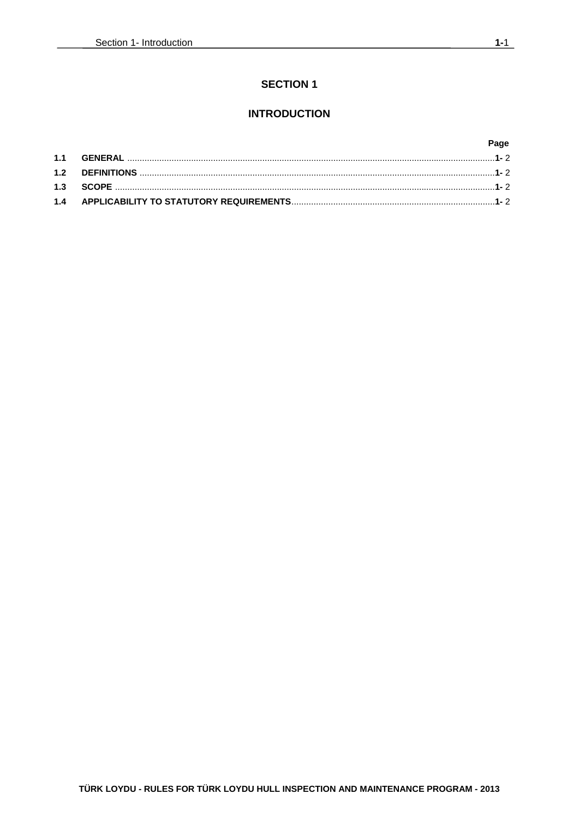# **SECTION 1**

# **INTRODUCTION**

### Page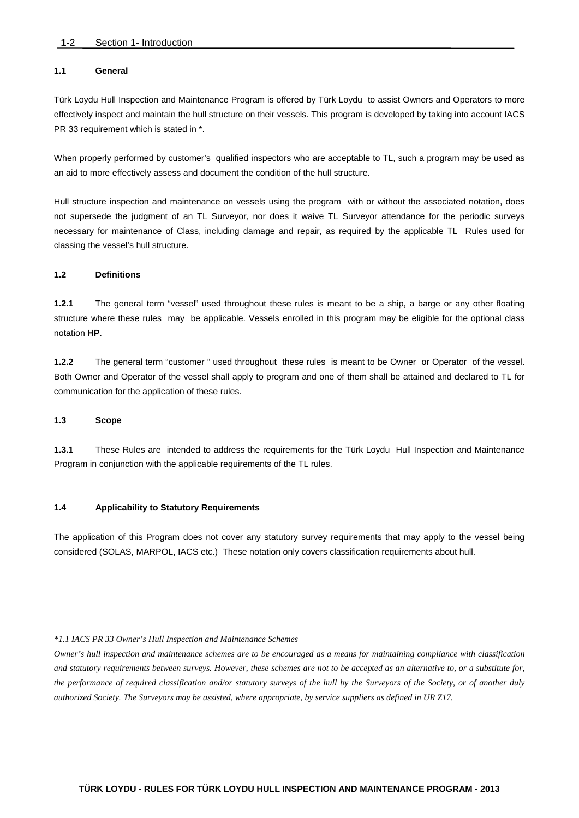#### **1.1 General**

Türk Loydu Hull Inspection and Maintenance Program is offered by Türk Loydu to assist Owners and Operators to more effectively inspect and maintain the hull structure on their vessels. This program is developed by taking into account IACS PR 33 requirement which is stated in \*.

When properly performed by customer's qualified inspectors who are acceptable to TL, such a program may be used as an aid to more effectively assess and document the condition of the hull structure.

Hull structure inspection and maintenance on vessels using the program with or without the associated notation, does not supersede the judgment of an TL Surveyor, nor does it waive TL Surveyor attendance for the periodic surveys necessary for maintenance of Class, including damage and repair, as required by the applicable TL Rules used for classing the vessel's hull structure.

#### **1.2 Definitions**

**1.2.1** The general term "vessel" used throughout these rules is meant to be a ship, a barge or any other floating structure where these rules may be applicable. Vessels enrolled in this program may be eligible for the optional class notation **HP**.

**1.2.2** The general term "customer " used throughout these rules is meant to be Owner or Operator of the vessel. Both Owner and Operator of the vessel shall apply to program and one of them shall be attained and declared to TL for communication for the application of these rules.

#### **1.3 Scope**

**1.3.1** These Rules are intended to address the requirements for the Türk Loydu Hull Inspection and Maintenance Program in conjunction with the applicable requirements of the TL rules.

#### **1.4 Applicability to Statutory Requirements**

The application of this Program does not cover any statutory survey requirements that may apply to the vessel being considered (SOLAS, MARPOL, IACS etc.) These notation only covers classification requirements about hull.

#### *\*1.1 IACS PR 33 Owner's Hull Inspection and Maintenance Schemes*

*Owner's hull inspection and maintenance schemes are to be encouraged as a means for maintaining compliance with classification and statutory requirements between surveys. However, these schemes are not to be accepted as an alternative to, or a substitute for, the performance of required classification and/or statutory surveys of the hull by the Surveyors of the Society, or of another duly authorized Society. The Surveyors may be assisted, where appropriate, by service suppliers as defined in UR Z17.*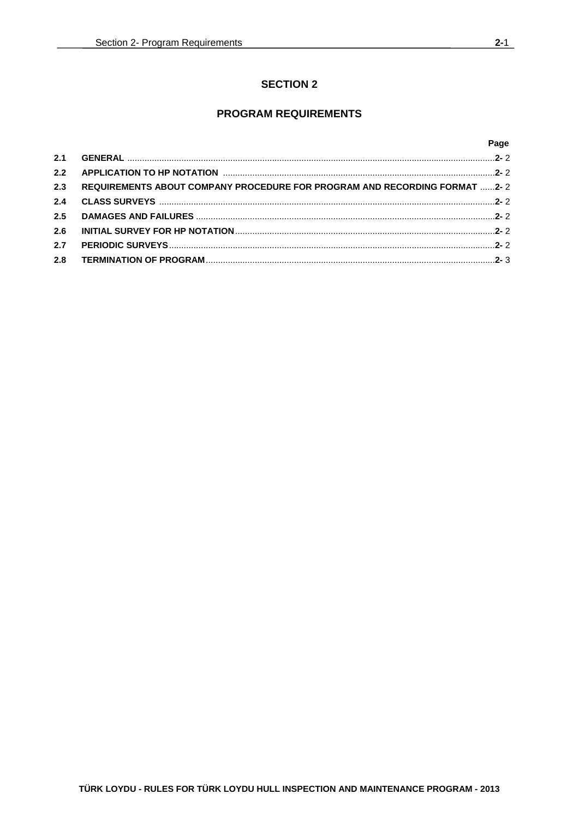# **SECTION 2**

# **PROGRAM REQUIREMENTS**

### Page

| 2.3 | REQUIREMENTS ABOUT COMPANY PROCEDURE FOR PROGRAM AND RECORDING FORMAT 2-2 |  |
|-----|---------------------------------------------------------------------------|--|
| 2.4 |                                                                           |  |
| 2.5 |                                                                           |  |
| 2.6 |                                                                           |  |
| 2.7 |                                                                           |  |
| 2.8 |                                                                           |  |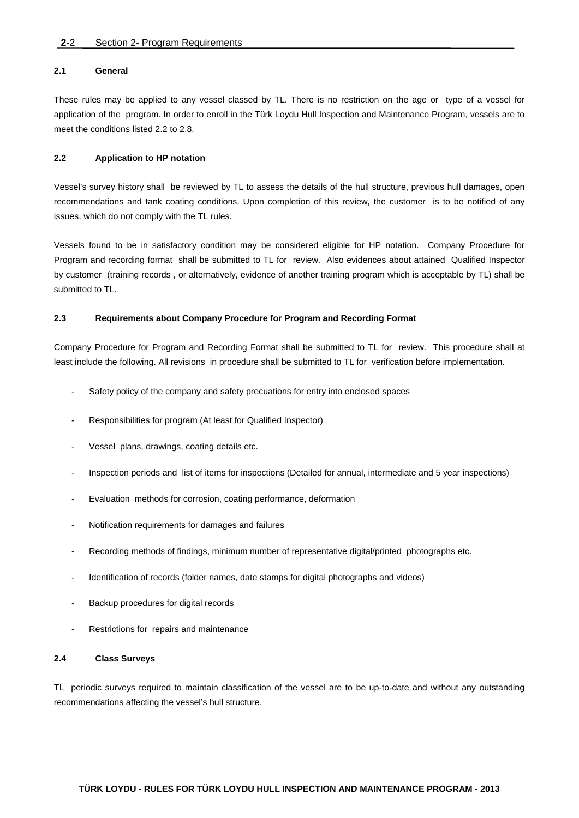#### **2.1 General**

These rules may be applied to any vessel classed by TL. There is no restriction on the age or type of a vessel for application of the program. In order to enroll in the Türk Loydu Hull Inspection and Maintenance Program, vessels are to meet the conditions listed 2.2 to 2.8.

#### **2.2 Application to HP notation**

Vessel's survey history shall be reviewed by TL to assess the details of the hull structure, previous hull damages, open recommendations and tank coating conditions. Upon completion of this review, the customer is to be notified of any issues, which do not comply with the TL rules.

Vessels found to be in satisfactory condition may be considered eligible for HP notation. Company Procedure for Program and recording format shall be submitted to TL for review. Also evidences about attained Qualified Inspector by customer (training records , or alternatively, evidence of another training program which is acceptable by TL) shall be submitted to TL.

#### **2.3 Requirements about Company Procedure for Program and Recording Format**

Company Procedure for Program and Recording Format shall be submitted to TL for review. This procedure shall at least include the following. All revisions in procedure shall be submitted to TL for verification before implementation.

- Safety policy of the company and safety precuations for entry into enclosed spaces
- Responsibilities for program (At least for Qualified Inspector)
- Vessel plans, drawings, coating details etc.
- Inspection periods and list of items for inspections (Detailed for annual, intermediate and 5 year inspections)
- Evaluation methods for corrosion, coating performance, deformation
- Notification requirements for damages and failures
- Recording methods of findings, minimum number of representative digital/printed photographs etc.
- Identification of records (folder names, date stamps for digital photographs and videos)
- Backup procedures for digital records
- Restrictions for repairs and maintenance

#### **2.4 Class Surveys**

TL periodic surveys required to maintain classification of the vessel are to be up-to-date and without any outstanding recommendations affecting the vessel's hull structure.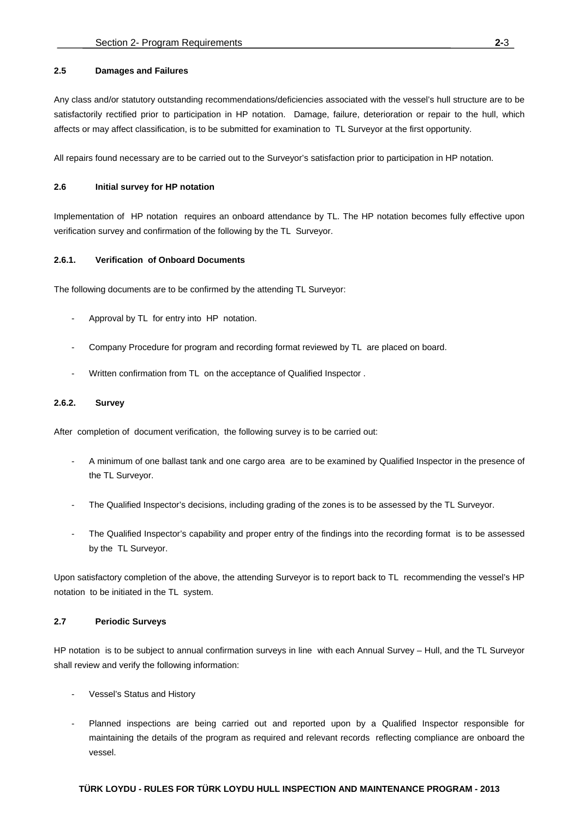#### **2.5 Damages and Failures**

Any class and/or statutory outstanding recommendations/deficiencies associated with the vessel's hull structure are to be satisfactorily rectified prior to participation in HP notation. Damage, failure, deterioration or repair to the hull, which affects or may affect classification, is to be submitted for examination to TL Surveyor at the first opportunity.

All repairs found necessary are to be carried out to the Surveyor's satisfaction prior to participation in HP notation.

#### **2.6 Initial survey for HP notation**

Implementation of HP notation requires an onboard attendance by TL. The HP notation becomes fully effective upon verification survey and confirmation of the following by the TL Surveyor.

#### **2.6.1. Verification of Onboard Documents**

The following documents are to be confirmed by the attending TL Surveyor:

- Approval by TL for entry into HP notation.
- Company Procedure for program and recording format reviewed by TL are placed on board.
- Written confirmation from TL on the acceptance of Qualified Inspector.

#### **2.6.2. Survey**

After completion of document verification, the following survey is to be carried out:

- A minimum of one ballast tank and one cargo area are to be examined by Qualified Inspector in the presence of the TL Surveyor.
- The Qualified Inspector's decisions, including grading of the zones is to be assessed by the TL Surveyor.
- The Qualified Inspector's capability and proper entry of the findings into the recording format is to be assessed by the TL Surveyor.

Upon satisfactory completion of the above, the attending Surveyor is to report back to TL recommending the vessel's HP notation to be initiated in the TL system.

#### **2.7 Periodic Surveys**

HP notation is to be subject to annual confirmation surveys in line with each Annual Survey – Hull, and the TL Surveyor shall review and verify the following information:

- Vessel's Status and History
- Planned inspections are being carried out and reported upon by a Qualified Inspector responsible for maintaining the details of the program as required and relevant records reflecting compliance are onboard the vessel.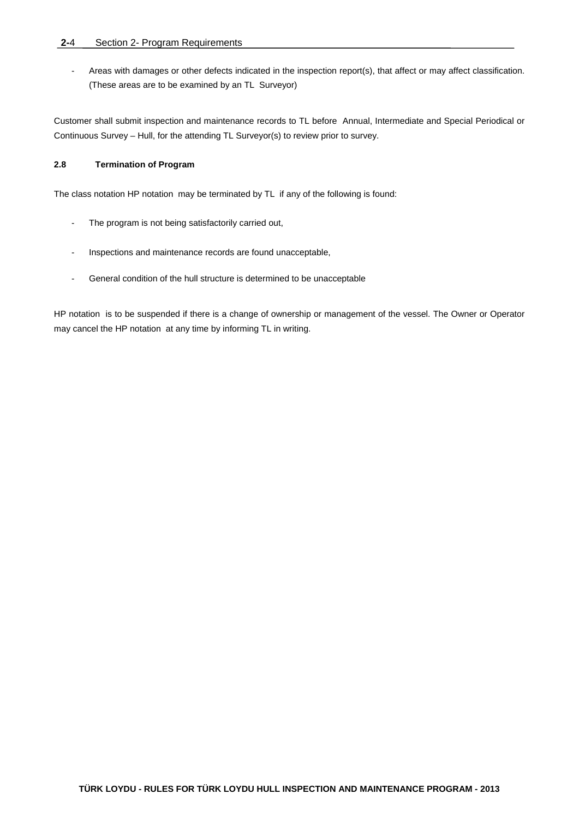- Areas with damages or other defects indicated in the inspection report(s), that affect or may affect classification. (These areas are to be examined by an TL Surveyor)

Customer shall submit inspection and maintenance records to TL before Annual, Intermediate and Special Periodical or Continuous Survey – Hull, for the attending TL Surveyor(s) to review prior to survey.

### **2.8 Termination of Program**

The class notation HP notation may be terminated by TL if any of the following is found:

- The program is not being satisfactorily carried out,
- Inspections and maintenance records are found unacceptable,
- General condition of the hull structure is determined to be unacceptable

HP notation is to be suspended if there is a change of ownership or management of the vessel. The Owner or Operator may cancel the HP notation at any time by informing TL in writing.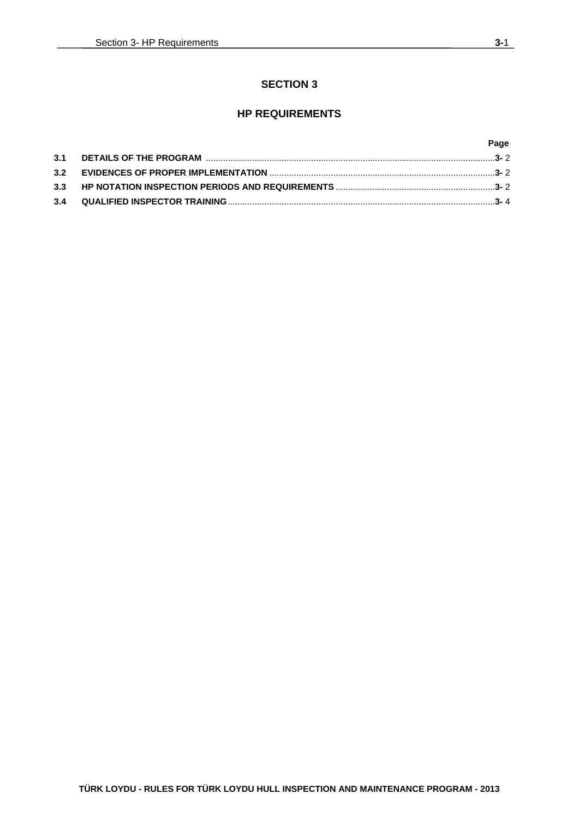### **SECTION 3**

### **HP REQUIREMENTS**

### **Page**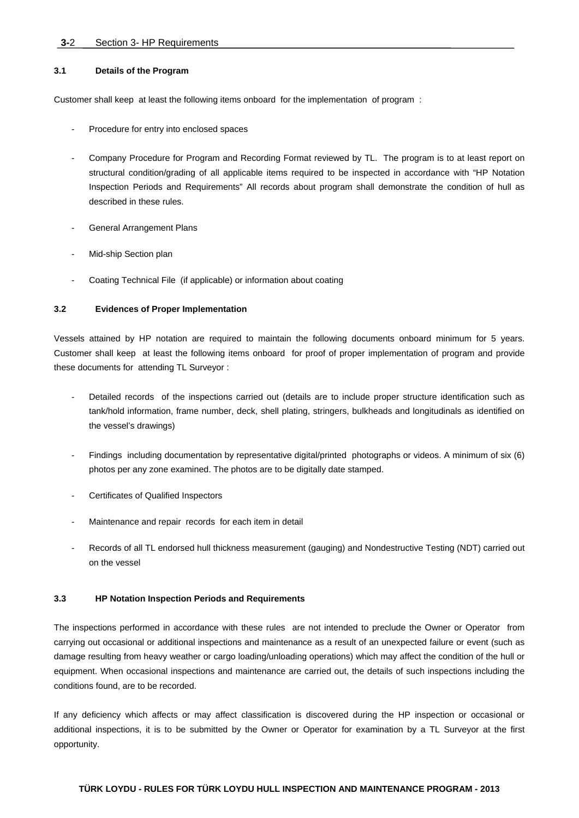#### **3-**2 Section 3- HP Requirements

#### **3.1 Details of the Program**

Customer shall keep at least the following items onboard for the implementation of program :

- Procedure for entry into enclosed spaces
- Company Procedure for Program and Recording Format reviewed by TL. The program is to at least report on structural condition/grading of all applicable items required to be inspected in accordance with "HP Notation Inspection Periods and Requirements" All records about program shall demonstrate the condition of hull as described in these rules.
- General Arrangement Plans
- Mid-ship Section plan
- Coating Technical File (if applicable) or information about coating

#### **3.2 Evidences of Proper Implementation**

Vessels attained by HP notation are required to maintain the following documents onboard minimum for 5 years. Customer shall keep at least the following items onboard for proof of proper implementation of program and provide these documents for attending TL Surveyor :

- Detailed records of the inspections carried out (details are to include proper structure identification such as tank/hold information, frame number, deck, shell plating, stringers, bulkheads and longitudinals as identified on the vessel's drawings)
- Findings including documentation by representative digital/printed photographs or videos. A minimum of six (6) photos per any zone examined. The photos are to be digitally date stamped.
- Certificates of Qualified Inspectors
- Maintenance and repair records for each item in detail
- Records of all TL endorsed hull thickness measurement (gauging) and Nondestructive Testing (NDT) carried out on the vessel

#### **3.3 HP Notation Inspection Periods and Requirements**

The inspections performed in accordance with these rules are not intended to preclude the Owner or Operator from carrying out occasional or additional inspections and maintenance as a result of an unexpected failure or event (such as damage resulting from heavy weather or cargo loading/unloading operations) which may affect the condition of the hull or equipment. When occasional inspections and maintenance are carried out, the details of such inspections including the conditions found, are to be recorded.

If any deficiency which affects or may affect classification is discovered during the HP inspection or occasional or additional inspections, it is to be submitted by the Owner or Operator for examination by a TL Surveyor at the first opportunity.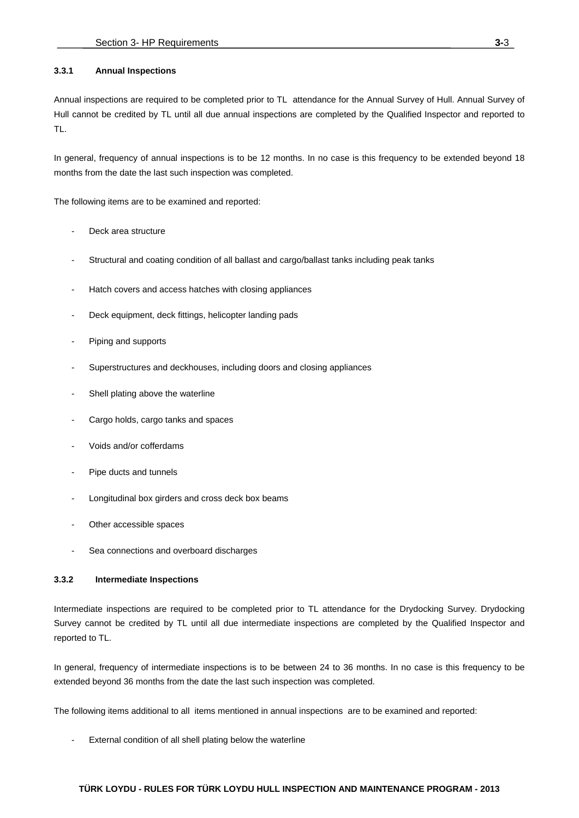#### **3.3.1 Annual Inspections**

Annual inspections are required to be completed prior to TL attendance for the Annual Survey of Hull. Annual Survey of Hull cannot be credited by TL until all due annual inspections are completed by the Qualified Inspector and reported to TL.

In general, frequency of annual inspections is to be 12 months. In no case is this frequency to be extended beyond 18 months from the date the last such inspection was completed.

The following items are to be examined and reported:

- Deck area structure
- Structural and coating condition of all ballast and cargo/ballast tanks including peak tanks
- Hatch covers and access hatches with closing appliances
- Deck equipment, deck fittings, helicopter landing pads
- Piping and supports
- Superstructures and deckhouses, including doors and closing appliances
- Shell plating above the waterline
- Cargo holds, cargo tanks and spaces
- Voids and/or cofferdams
- Pipe ducts and tunnels
- Longitudinal box girders and cross deck box beams
- Other accessible spaces
- Sea connections and overboard discharges

#### **3.3.2 Intermediate Inspections**

Intermediate inspections are required to be completed prior to TL attendance for the Drydocking Survey. Drydocking Survey cannot be credited by TL until all due intermediate inspections are completed by the Qualified Inspector and reported to TL.

In general, frequency of intermediate inspections is to be between 24 to 36 months. In no case is this frequency to be extended beyond 36 months from the date the last such inspection was completed.

The following items additional to all items mentioned in annual inspections are to be examined and reported:

External condition of all shell plating below the waterline